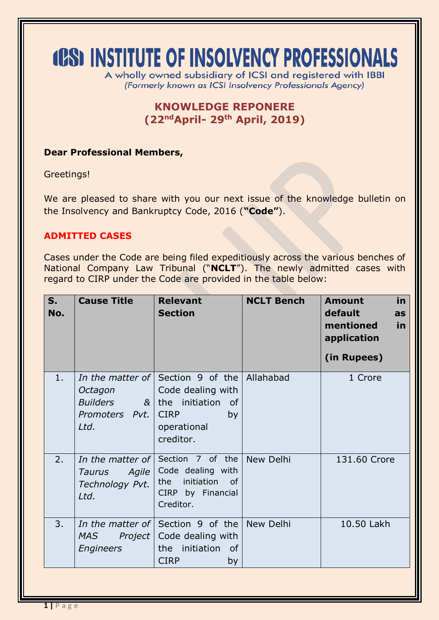# **(CS) INSTITUTE OF INSOLVENCY PROFESSIONALS**

A wholly owned subsidiary of ICSI and registered with IBBI (Formerly known as ICSI Insolvency Professionals Agency)

## **KNOWLEDGE REPONERE (22ndApril- 29 th April, 2019)**

### **Dear Professional Members,**

Greetings!

We are pleased to share with you our next issue of the knowledge bulletin on the Insolvency and Bankruptcy Code, 2016 (**"Code"**).

## **ADMITTED CASES**

Cases under the Code are being filed expeditiously across the various benches of National Company Law Tribunal ("**NCLT**"). The newly admitted cases with regard to CIRP under the Code are provided in the table below:

| $S_{1}$<br>No. | <b>Cause Title</b>                                   | <b>Relevant</b><br><b>Section</b>                                                                                                   | <b>NCLT Bench</b> | <b>Amount</b><br>in<br>default<br>as<br>mentioned<br>in<br>application<br>(in Rupees) |
|----------------|------------------------------------------------------|-------------------------------------------------------------------------------------------------------------------------------------|-------------------|---------------------------------------------------------------------------------------|
| 1.             | Octagon<br><b>Builders</b><br>Promoters Pvt.<br>Ltd. | In the matter of Section 9 of the<br>Code dealing with<br>$&$ the initiation<br>of<br><b>CIRP</b><br>by<br>operational<br>creditor. | Allahabad         | 1 Crore                                                                               |
| 2.             | Agile  <br><b>Taurus</b><br>Technology Pvt.<br>Ltd.  | In the matter of Section 7 of the<br>Code dealing with<br>initiation<br>the<br>of<br>CIRP by Financial<br>Creditor.                 | New Delhi         | 131.60 Crore                                                                          |
| 3.             | <b>MAS</b><br>Engineers                              | In the matter of Section 9 of the New Delhi<br><i>Project</i>   Code dealing with<br>the initiation of<br><b>CIRP</b><br>by         |                   | 10.50 Lakh                                                                            |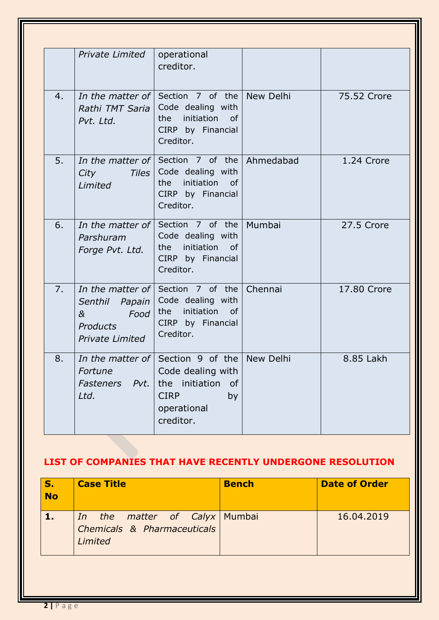|    | <b>Private Limited</b>                                                                | operational<br>creditor.                                                                                                                    |         |             |
|----|---------------------------------------------------------------------------------------|---------------------------------------------------------------------------------------------------------------------------------------------|---------|-------------|
| 4. | Rathi TMT Saria<br>Pvt. Ltd.                                                          | <i>In the matter of</i> Section 7 of the New Delhi<br>Code dealing with<br>initiation<br>the<br><b>of</b><br>CIRP by Financial<br>Creditor. |         | 75.52 Crore |
| 5. | Tiles  <br>City<br>Limited                                                            | <i>In the matter of</i> Section 7 of the Ahmedabad<br>Code dealing with<br>initiation of<br>the<br>CIRP by Financial<br>Creditor.           |         | 1.24 Crore  |
| 6. | Parshuram<br>Forge Pvt. Ltd.                                                          | <i>In the matter of</i> Section 7 of the Mumbai<br>Code dealing with<br>initiation<br>the<br>of<br>CIRP by Financial<br>Creditor.           |         | 27.5 Crore  |
| 7. | In the matter of<br>Senthil Papain<br>&<br>Food<br>Products<br><b>Private Limited</b> | Section 7 of the<br>Code dealing with<br>initiation<br>the<br>$\circ$ of<br>CIRP by Financial<br>Creditor.                                  | Chennai | 17.80 Crore |
| 8. | Fortune<br><b>Fasteners</b><br>Pvt.<br>Ltd.                                           | In the matter of Section 9 of the New Delhi<br>Code dealing with<br>the initiation<br>of<br><b>CIRP</b><br>by<br>operational<br>creditor.   |         | 8.85 Lakh   |

# **LIST OF COMPANIES THAT HAVE RECENTLY UNDERGONE RESOLUTION**

| <b>No</b> | <b>Case Title</b>                                                       | <b>Bench</b> | <b>Date of Order</b> |
|-----------|-------------------------------------------------------------------------|--------------|----------------------|
|           | In the matter of Calyx Mumbai<br>Chemicals & Pharmaceuticals<br>Limited |              | 16,04,2019           |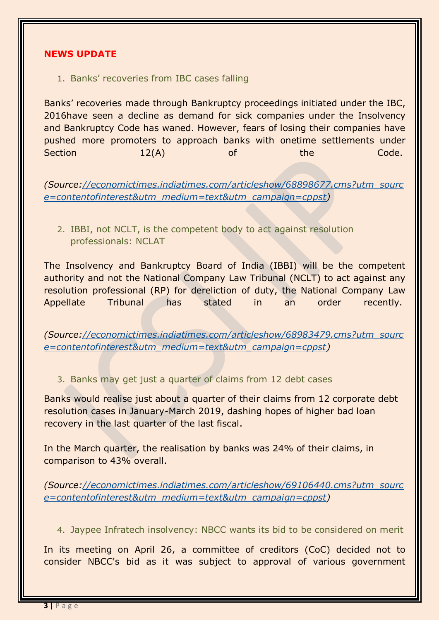#### **NEWS UPDATE**

1. Banks' recoveries from IBC cases falling

Banks' recoveries made through Bankruptcy proceedings initiated under the IBC, 2016have seen a decline as demand for sick companies under the Insolvency and Bankruptcy Code has waned. However, fears of losing their companies have pushed more promoters to approach banks with onetime settlements under Section 12(A) of the Code.

*(Source[://economictimes.indiatimes.com/articleshow/68898677.cms?utm\\_sourc](https://economictimes.indiatimes.com/articleshow/68898677.cms?utm_source=contentofinterest&utm_medium=text&utm_campaign=cppst) [e=contentofinterest&utm\\_medium=text&utm\\_campaign=cppst\)](https://economictimes.indiatimes.com/articleshow/68898677.cms?utm_source=contentofinterest&utm_medium=text&utm_campaign=cppst)*

2. IBBI, not NCLT, is the competent body to act against resolution professionals: NCLAT

The Insolvency and Bankruptcy Board of India (IBBI) will be the competent authority and not the National Company Law Tribunal (NCLT) to act against any resolution professional (RP) for dereliction of duty, the National Company Law Appellate Tribunal has stated in an order recently.

*(Source[://economictimes.indiatimes.com/articleshow/68983479.cms?utm\\_sourc](https://economictimes.indiatimes.com/articleshow/68983479.cms?utm_source=contentofinterest&utm_medium=text&utm_campaign=cppst) [e=contentofinterest&utm\\_medium=text&utm\\_campaign=cppst\)](https://economictimes.indiatimes.com/articleshow/68983479.cms?utm_source=contentofinterest&utm_medium=text&utm_campaign=cppst)*

3. Banks may get just a quarter of claims from 12 debt cases

Banks would realise just about a quarter of their claims from 12 corporate debt resolution cases in January-March 2019, dashing hopes of higher bad loan recovery in the last quarter of the last fiscal.

In the March quarter, the realisation by banks was 24% of their claims, in comparison to 43% overall.

*(Source[://economictimes.indiatimes.com/articleshow/69106440.cms?utm\\_sourc](https://economictimes.indiatimes.com/articleshow/69106440.cms?utm_source=contentofinterest&utm_medium=text&utm_campaign=cppst) [e=contentofinterest&utm\\_medium=text&utm\\_campaign=cppst\)](https://economictimes.indiatimes.com/articleshow/69106440.cms?utm_source=contentofinterest&utm_medium=text&utm_campaign=cppst)*

4. Jaypee Infratech insolvency: NBCC wants its bid to be considered on merit

In its meeting on April 26, a committee of creditors (CoC) decided not to consider NBCC's bid as it was subject to approval of various government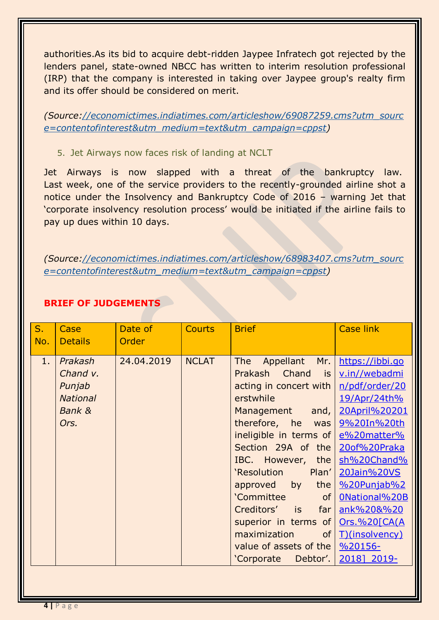authorities.As its bid to acquire debt-ridden Jaypee Infratech got rejected by the lenders panel, state-owned NBCC has written to interim resolution professional (IRP) that the company is interested in taking over Jaypee group's realty firm and its offer should be considered on merit.

*(Source[://economictimes.indiatimes.com/articleshow/69087259.cms?utm\\_sourc](https://economictimes.indiatimes.com/articleshow/69087259.cms?utm_source=contentofinterest&utm_medium=text&utm_campaign=cppst) [e=contentofinterest&utm\\_medium=text&utm\\_campaign=cppst\)](https://economictimes.indiatimes.com/articleshow/69087259.cms?utm_source=contentofinterest&utm_medium=text&utm_campaign=cppst)*

5. Jet Airways now faces risk of landing at NCLT

Jet Airways is now slapped with a threat of the bankruptcy law. Last week, one of the service providers to the recently-grounded airline shot a notice under the Insolvency and Bankruptcy Code of 2016 – warning Jet that 'corporate insolvency resolution process' would be initiated if the airline fails to pay up dues within 10 days.

*(Source[://economictimes.indiatimes.com/articleshow/68983407.cms?utm\\_sourc](https://economictimes.indiatimes.com/articleshow/68983407.cms?utm_source=contentofinterest&utm_medium=text&utm_campaign=cppst) [e=contentofinterest&utm\\_medium=text&utm\\_campaign=cppst\)](https://economictimes.indiatimes.com/articleshow/68983407.cms?utm_source=contentofinterest&utm_medium=text&utm_campaign=cppst)*

| $S_{\cdot}$<br>No. | Case<br><b>Details</b> | Date of<br>Order | <b>Courts</b> | <b>Brief</b>                       | <b>Case link</b>    |
|--------------------|------------------------|------------------|---------------|------------------------------------|---------------------|
|                    |                        |                  |               |                                    |                     |
| 1.                 | Prakash                | 24.04.2019       | <b>NCLAT</b>  | Appellant Mr.<br><b>The</b>        | https://ibbi.go     |
|                    | Chand v.               |                  |               | Prakash Chand<br>is I              | v.in//webadmi       |
|                    | Punjab                 |                  |               | acting in concert with             | n/pdf/order/20      |
|                    | <b>National</b>        |                  |               | erstwhile                          | 19/Apr/24th%        |
|                    | Bank &                 |                  |               | Management and,                    | 20April%20201       |
|                    | Ors.                   |                  |               | therefore, he was                  | 9%20In%20th         |
|                    |                        |                  |               | ineligible in terms of e%20matter% |                     |
|                    |                        |                  |               | Section 29A of the 20of%20Praka    |                     |
|                    |                        |                  |               | IBC. However, the sh%20Chand%      |                     |
|                    |                        |                  |               | 'Resolution<br>Plan'               | 20Jain%20VS         |
|                    |                        |                  |               | by the<br>approved                 | %20Punjab%2         |
|                    |                        |                  |               | 'Committee<br>of <sub>l</sub>      | 0National%20B       |
|                    |                        |                  |               | Creditors' is far                  | ank%20&%20          |
|                    |                        |                  |               | superior in terms of               | <u>Ors.%20[CA(A</u> |
|                    |                        |                  |               | maximization<br>of <sub>l</sub>    | T)(insolvency)      |
|                    |                        |                  |               | value of assets of the   %20156-   |                     |
|                    |                        |                  |               | Debtor'.<br>'Corporate             | 2018] 2019-         |

## **BRIEF OF JUDGEMENTS**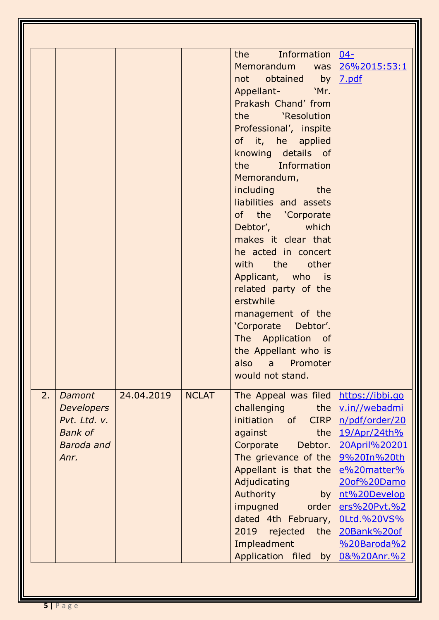|    |                                                                                            |            |              | the Information<br>Memorandum was<br>not obtained by<br>Appellant- 'Mr.<br>Prakash Chand' from<br>the 'Resolution<br>Professional', inspite<br>of it, he applied<br>knowing details of<br>the Information<br>Memorandum,<br>including the<br>liabilities and assets<br>of the 'Corporate<br>Debtor', which<br>makes it clear that<br>he acted in concert<br>with the other<br>Applicant, who is<br>related party of the<br>erstwhile<br>management of the<br>'Corporate Debtor'.<br>The Application of<br>the Appellant who is<br>also a Promoter<br>would not stand. | $04 -$<br>26%2015:53:1<br>7.pdf                                                                                                                                                                                                     |
|----|--------------------------------------------------------------------------------------------|------------|--------------|-----------------------------------------------------------------------------------------------------------------------------------------------------------------------------------------------------------------------------------------------------------------------------------------------------------------------------------------------------------------------------------------------------------------------------------------------------------------------------------------------------------------------------------------------------------------------|-------------------------------------------------------------------------------------------------------------------------------------------------------------------------------------------------------------------------------------|
| 2. | Damont<br><b>Developers</b><br>Pvt. Ltd. v.<br><b>Bank of</b><br><b>Baroda</b> and<br>Anr. | 24.04.2019 | <b>NCLAT</b> | The Appeal was filed<br>challenging<br>the<br>initiation of CIRP<br>against<br>the<br>Corporate<br>Debtor.<br>The grievance of the<br>Appellant is that the<br>Adjudicating<br>Authority<br>by<br>impugned<br>order<br>dated 4th February,<br>2019<br>rejected<br>the<br>Impleadment<br>Application filed by                                                                                                                                                                                                                                                          | https://ibbi.go<br>v.in//webadmi<br>n/pdf/order/20<br>19/Apr/24th%<br>20April%20201<br>9%20In%20th<br>e%20matter%<br>20of%20Damo<br>nt%20Develop<br>ers%20Pvt.%2<br><b>0Ltd.%20VS%</b><br>20Bank%20of<br>%20Baroda%2<br>0&%20Anr.%2 |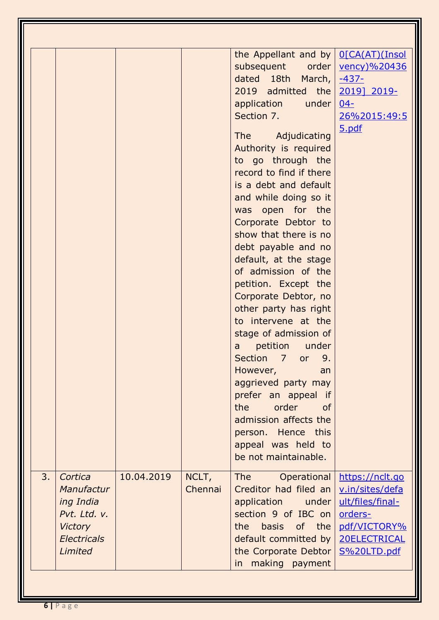|    |                                                                                                       |            |                  | the Appellant and by $\sqrt{O(CA(AT))}$ (Insol<br>subsequent order<br>dated 18th March,<br>2019 admitted the<br>application<br>under<br>Section 7.<br>The Adjudicating<br>Authority is required<br>to go through the<br>record to find if there<br>is a debt and default<br>and while doing so it<br>was open for the<br>Corporate Debtor to<br>show that there is no<br>debt payable and no<br>default, at the stage<br>of admission of the<br>petition. Except the<br>Corporate Debtor, no<br>other party has right<br>to intervene at the<br>stage of admission of<br>petition under<br>a<br>Section 7 or 9.<br>However,<br>an<br>aggrieved party may<br>prefer an appeal if<br>the<br>order<br><b>of</b><br>admission affects the<br>person. Hence this<br>appeal was held to<br>be not maintainable. | <u>vency)%20436</u><br>$-437-$<br>2019] 2019-<br>$04 -$<br>26%2015:49:5<br><u>5.pdf</u>                          |
|----|-------------------------------------------------------------------------------------------------------|------------|------------------|-----------------------------------------------------------------------------------------------------------------------------------------------------------------------------------------------------------------------------------------------------------------------------------------------------------------------------------------------------------------------------------------------------------------------------------------------------------------------------------------------------------------------------------------------------------------------------------------------------------------------------------------------------------------------------------------------------------------------------------------------------------------------------------------------------------|------------------------------------------------------------------------------------------------------------------|
| 3. | Cortica<br>Manufactur<br>ing India<br>Pvt. Ltd. v.<br><b>Victory</b><br><b>Electricals</b><br>Limited | 10.04.2019 | NCLT,<br>Chennai | <b>The</b><br>Operational<br>Creditor had filed an<br>application<br>under<br>section 9 of IBC on<br>the<br>basis<br>of the<br>default committed by<br>the Corporate Debtor<br>in making payment                                                                                                                                                                                                                                                                                                                                                                                                                                                                                                                                                                                                          | https://nclt.go<br>v.in/sites/defa<br>ult/files/final-<br>orders-<br>pdf/VICTORY%<br>20ELECTRICAL<br>S%20LTD.pdf |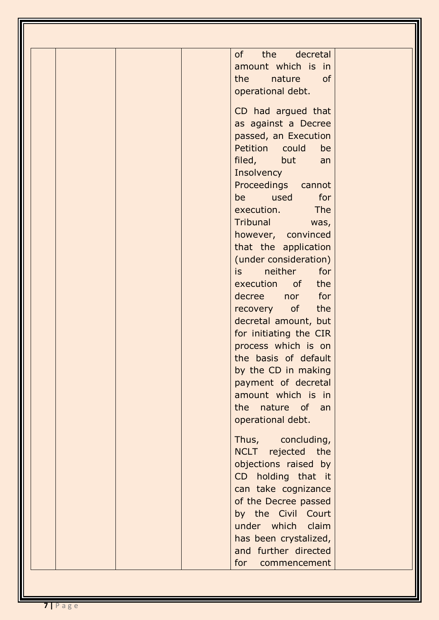| of<br>the<br>decretal<br>amount which is in<br>the<br>nature<br>of<br>operational debt.                                                                                                                                                                                                                                                                                                                                                                                                                                                                                                                                                       |
|-----------------------------------------------------------------------------------------------------------------------------------------------------------------------------------------------------------------------------------------------------------------------------------------------------------------------------------------------------------------------------------------------------------------------------------------------------------------------------------------------------------------------------------------------------------------------------------------------------------------------------------------------|
| CD had argued that<br>as against a Decree<br>passed, an Execution<br>Petition could<br>be<br>filed, but<br>an<br>Insolvency<br>Proceedings cannot<br>be used for<br>execution. The<br>Tribunal was,<br>however, convinced<br>that the application<br>(under consideration)<br>neither<br>is a<br>for<br>execution of the<br>decree nor for<br>recovery of the<br>decretal amount, but<br>for initiating the CIR<br>process which is on<br>the basis of default<br>by the CD in making<br>payment of decretal<br>amount which is in<br>the nature of an<br>operational debt.<br>Thus, concluding,<br>NCLT rejected the<br>objections raised by |
| CD holding that it<br>can take cognizance<br>of the Decree passed<br>by the Civil Court<br>under which claim                                                                                                                                                                                                                                                                                                                                                                                                                                                                                                                                  |
| has been crystalized,<br>and further directed<br>for<br>commencement                                                                                                                                                                                                                                                                                                                                                                                                                                                                                                                                                                          |

T